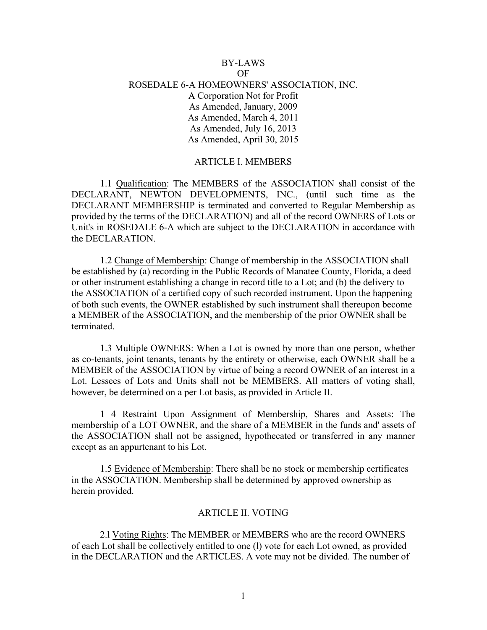# BY-LAWS OF ROSEDALE 6-A HOMEOWNERS' ASSOCIATION, INC. A Corporation Not for Profit As Amended, January, 2009 As Amended, March 4, 2011 As Amended, July 16, 2013 As Amended, April 30, 2015

### ARTICLE I. MEMBERS

1.1 Qualification: The MEMBERS of the ASSOCIATION shall consist of the DECLARANT, NEWTON DEVELOPMENTS, INC., (until such time as the DECLARANT MEMBERSHIP is terminated and converted to Regular Membership as provided by the terms of the DECLARATION) and all of the record OWNERS of Lots or Unit's in ROSEDALE 6-A which are subject to the DECLARATION in accordance with the DECLARATION.

1.2 Change of Membership: Change of membership in the ASSOCIATION shall be established by (a) recording in the Public Records of Manatee County, Florida, a deed or other instrument establishing a change in record title to a Lot; and (b) the delivery to the ASSOCIATION of a certified copy of such recorded instrument. Upon the happening of both such events, the OWNER established by such instrument shall thereupon become a MEMBER of the ASSOCIATION, and the membership of the prior OWNER shall be terminated.

1.3 Multiple OWNERS: When a Lot is owned by more than one person, whether as co-tenants, joint tenants, tenants by the entirety or otherwise, each OWNER shall be a MEMBER of the ASSOCIATION by virtue of being a record OWNER of an interest in a Lot. Lessees of Lots and Units shall not be MEMBERS. All matters of voting shall, however, be determined on a per Lot basis, as provided in Article II.

1 4 Restraint Upon Assignment of Membership, Shares and Assets: The membership of a LOT OWNER, and the share of a MEMBER in the funds and' assets of the ASSOCIATION shall not be assigned, hypothecated or transferred in any manner except as an appurtenant to his Lot.

1.5 Evidence of Membership: There shall be no stock or membership certificates in the ASSOCIATION. Membership shall be determined by approved ownership as herein provided.

#### ARTICLE II. VOTING

2.l Voting Rights: The MEMBER or MEMBERS who are the record OWNERS of each Lot shall be collectively entitled to one (l) vote for each Lot owned, as provided in the DECLARATION and the ARTICLES. A vote may not be divided. The number of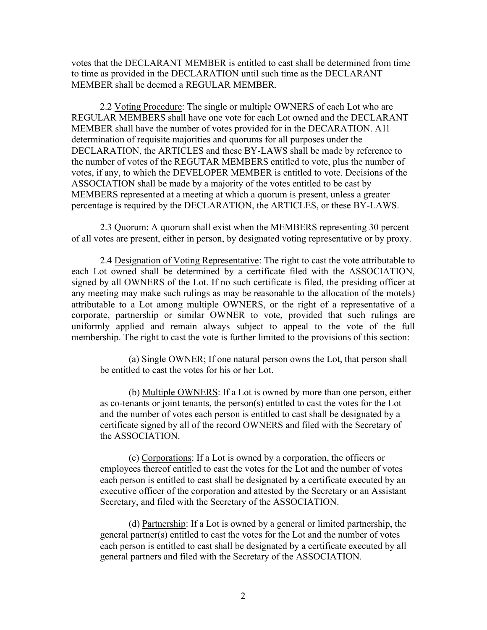votes that the DECLARANT MEMBER is entitled to cast shall be determined from time to time as provided in the DECLARATION until such time as the DECLARANT MEMBER shall be deemed a REGULAR MEMBER.

2.2 Voting Procedure: The single or multiple OWNERS of each Lot who are REGULAR MEMBERS shall have one vote for each Lot owned and the DECLARANT MEMBER shall have the number of votes provided for in the DECARATION. A1l determination of requisite majorities and quorums for all purposes under the DECLARATION, the ARTICLES and these BY-LAWS shall be made by reference to the number of votes of the REGUTAR MEMBERS entitled to vote, plus the number of votes, if any, to which the DEVELOPER MEMBER is entitled to vote. Decisions of the ASSOCIATION shall be made by a majority of the votes entitled to be cast by MEMBERS represented at a meeting at which a quorum is present, unless a greater percentage is required by the DECLARATION, the ARTICLES, or these BY-LAWS.

2.3 Quorum: A quorum shall exist when the MEMBERS representing 30 percent of all votes are present, either in person, by designated voting representative or by proxy.

2.4 Designation of Voting Representative: The right to cast the vote attributable to each Lot owned shall be determined by a certificate filed with the ASSOCIATION, signed by all OWNERS of the Lot. If no such certificate is filed, the presiding officer at any meeting may make such rulings as may be reasonable to the allocation of the motels) attributable to a Lot among multiple OWNERS, or the right of a representative of a corporate, partnership or similar OWNER to vote, provided that such rulings are uniformly applied and remain always subject to appeal to the vote of the full membership. The right to cast the vote is further limited to the provisions of this section:

(a) Single OWNER; If one natural person owns the Lot, that person shall be entitled to cast the votes for his or her Lot.

(b) Multiple OWNERS: If a Lot is owned by more than one person, either as co-tenants or joint tenants, the person(s) entitled to cast the votes for the Lot and the number of votes each person is entitled to cast shall be designated by a certificate signed by all of the record OWNERS and filed with the Secretary of the ASSOCIATION.

(c) Corporations: If a Lot is owned by a corporation, the officers or employees thereof entitled to cast the votes for the Lot and the number of votes each person is entitled to cast shall be designated by a certificate executed by an executive officer of the corporation and attested by the Secretary or an Assistant Secretary, and filed with the Secretary of the ASSOCIATION.

(d) Partnership: If a Lot is owned by a general or limited partnership, the general partner(s) entitled to cast the votes for the Lot and the number of votes each person is entitled to cast shall be designated by a certificate executed by all general partners and filed with the Secretary of the ASSOCIATION.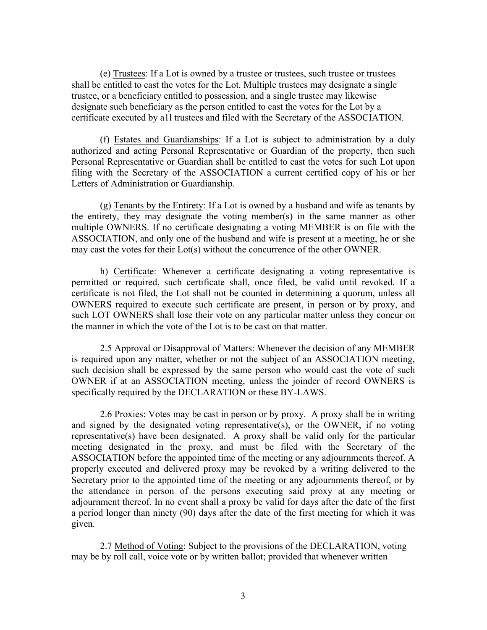(e) Trustees: If a Lot is owned by a trustee or trustees, such trustee or trustees shall be entitled to cast the votes for the Lot. Multiple trustees may designate a single trustee, or a beneficiary entitled to possession, and a single trustee may likewise designate such beneficiary as the person entitled to cast the votes for the Lot by a certificate executed by a1l trustees and filed with the Secretary of the ASSOCIATION.

(f) Estates and Guardianships: If a Lot is subject to administration by a duly authorized and acting Personal Representative or Guardian of the property, then such Personal Representative or Guardian shall be entitled to cast the votes for such Lot upon filing with the Secretary of the ASSOCIATION a current certified copy of his or her Letters of Administration or Guardianship.

(g) Tenants by the Entirety: If a Lot is owned by a husband and wife as tenants by the entirety, they may designate the voting member(s) in the same manner as other multiple OWNERS. If no certificate designating a voting MEMBER is on file with the ASSOCIATION, and only one of the husband and wife is present at a meeting, he or she may cast the votes for their Lot(s) without the concurrence of the other OWNER.

h) Certificate: Whenever a certificate designating a voting representative is permitted or required, such certificate shall, once filed, be valid until revoked. If a certificate is not filed, the Lot shall not be counted in determining a quorum, unless all OWNERS required to execute such certificate are present, in person or by proxy, and such LOT OWNERS shall lose their vote on any particular matter unless they concur on the manner in which the vote of the Lot is to be cast on that matter.

2.5 Approval or Disapproval of Matters: Whenever the decision of any MEMBER is required upon any matter, whether or not the subject of an ASSOCIATION meeting, such decision shall be expressed by the same person who would cast the vote of such OWNER if at an ASSOCIATION meeting, unless the joinder of record OWNERS is specifically required by the DECLARATION or these BY-LAWS.

2.6 Proxies: Votes may be cast in person or by proxy. A proxy shall be in writing and signed by the designated voting representative(s), or the OWNER, if no voting representative(s) have been designated. A proxy shall be valid only for the particular meeting designated in the proxy, and must be filed with the Secretary of the ASSOCIATION before the appointed time of the meeting or any adjournments thereof. A properly executed and delivered proxy may be revoked by a writing delivered to the Secretary prior to the appointed time of the meeting or any adjournments thereof, or by the attendance in person of the persons executing said proxy at any meeting or adjournment thereof. In no event shall a proxy be valid for days after the date of the first a period longer than ninety (90) days after the date of the first meeting for which it was given.

2.7 Method of Voting: Subject to the provisions of the DECLARATION, voting may be by roll call, voice vote or by written ballot; provided that whenever written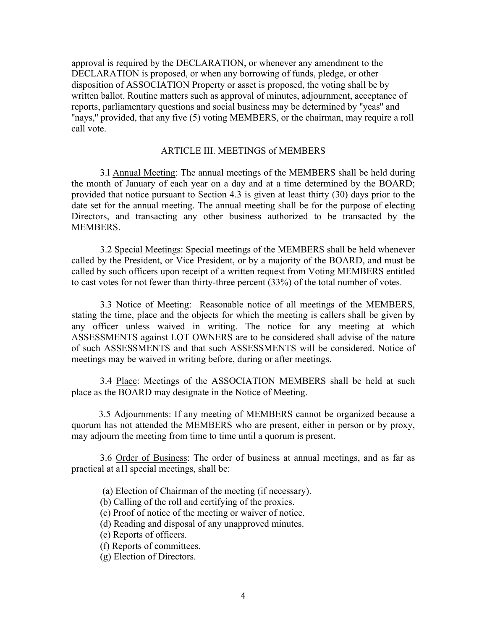approval is required by the DECLARATION, or whenever any amendment to the DECLARATION is proposed, or when any borrowing of funds, pledge, or other disposition of ASSOCIATION Property or asset is proposed, the voting shall be by written ballot. Routine matters such as approval of minutes, adjournment, acceptance of reports, parliamentary questions and social business may be determined by ''yeas'' and "nays," provided, that any five (5) voting MEMBERS, or the chairman, may require a roll call vote.

# ARTICLE III. MEETINGS of MEMBERS

3.l Annual Meeting: The annual meetings of the MEMBERS shall be held during the month of January of each year on a day and at a time determined by the BOARD; provided that notice pursuant to Section 4.3 is given at least thirty (30) days prior to the date set for the annual meeting. The annual meeting shall be for the purpose of electing Directors, and transacting any other business authorized to be transacted by the MEMBERS.

3.2 Special Meetings: Special meetings of the MEMBERS shall be held whenever called by the President, or Vice President, or by a majority of the BOARD, and must be called by such officers upon receipt of a written request from Voting MEMBERS entitled to cast votes for not fewer than thirty-three percent (33%) of the total number of votes.

3.3 Notice of Meeting: Reasonable notice of all meetings of the MEMBERS, stating the time, place and the objects for which the meeting is callers shall be given by any officer unless waived in writing. The notice for any meeting at which ASSESSMENTS against LOT OWNERS are to be considered shall advise of the nature of such ASSESSMENTS and that such ASSESSMENTS will be considered. Notice of meetings may be waived in writing before, during or after meetings.

3.4 Place: Meetings of the ASSOCIATION MEMBERS shall be held at such place as the BOARD may designate in the Notice of Meeting.

3.5 Adjournments: If any meeting of MEMBERS cannot be organized because a quorum has not attended the MEMBERS who are present, either in person or by proxy, may adjourn the meeting from time to time until a quorum is present.

3.6 Order of Business: The order of business at annual meetings, and as far as practical at a1l special meetings, shall be:

(a) Election of Chairman of the meeting (if necessary).

(b) Calling of the roll and certifying of the proxies.

(c) Proof of notice of the meeting or waiver of notice.

- (d) Reading and disposal of any unapproved minutes.
- (e) Reports of officers.
- (f) Reports of committees.
- (g) Election of Directors.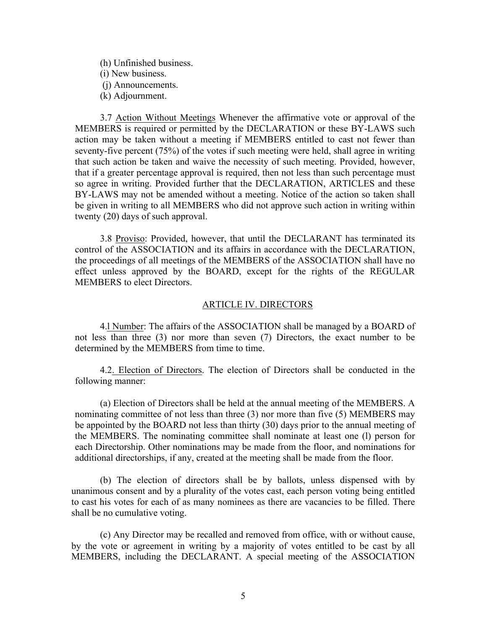(h) Unfinished business. (i) New business. (j) Announcements. (k) Adjournment.

3.7 Action Without Meetings Whenever the affirmative vote or approval of the MEMBERS is required or permitted by the DECLARATION or these BY-LAWS such action may be taken without a meeting if MEMBERS entitled to cast not fewer than seventy-five percent (75%) of the votes if such meeting were held, shall agree in writing that such action be taken and waive the necessity of such meeting. Provided, however, that if a greater percentage approval is required, then not less than such percentage must so agree in writing. Provided further that the DECLARATION, ARTICLES and these BY-LAWS may not be amended without a meeting. Notice of the action so taken shall be given in writing to all MEMBERS who did not approve such action in writing within twenty (20) days of such approval.

3.8 Proviso: Provided, however, that until the DECLARANT has terminated its control of the ASSOCIATION and its affairs in accordance with the DECLARATION, the proceedings of all meetings of the MEMBERS of the ASSOCIATION shall have no effect unless approved by the BOARD, except for the rights of the REGULAR MEMBERS to elect Directors.

### ARTICLE IV. DIRECTORS

4.l Number: The affairs of the ASSOCIATION shall be managed by a BOARD of not less than three (3) nor more than seven (7) Directors, the exact number to be determined by the MEMBERS from time to time.

4.2. Election of Directors. The election of Directors shall be conducted in the following manner:

(a) Election of Directors shall be held at the annual meeting of the MEMBERS. A nominating committee of not less than three (3) nor more than five (5) MEMBERS may be appointed by the BOARD not less than thirty (30) days prior to the annual meeting of the MEMBERS. The nominating committee shall nominate at least one (l) person for each Directorship. Other nominations may be made from the floor, and nominations for additional directorships, if any, created at the meeting shall be made from the floor.

(b) The election of directors shall be by ballots, unless dispensed with by unanimous consent and by a plurality of the votes cast, each person voting being entitled to cast his votes for each of as many nominees as there are vacancies to be filled. There shall be no cumulative voting.

(c) Any Director may be recalled and removed from office, with or without cause, by the vote or agreement in writing by a majority of votes entitled to be cast by all MEMBERS, including the DECLARANT. A special meeting of the ASSOCIATION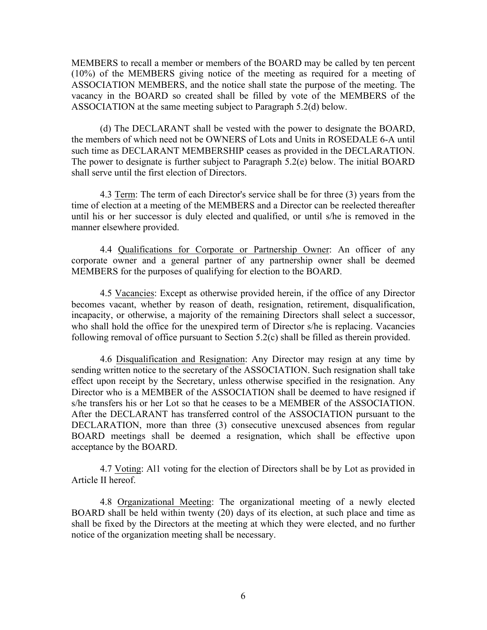MEMBERS to recall a member or members of the BOARD may be called by ten percent (10%) of the MEMBERS giving notice of the meeting as required for a meeting of ASSOCIATION MEMBERS, and the notice shall state the purpose of the meeting. The vacancy in the BOARD so created shall be filled by vote of the MEMBERS of the ASSOCIATION at the same meeting subject to Paragraph 5.2(d) below.

(d) The DECLARANT shall be vested with the power to designate the BOARD, the members of which need not be OWNERS of Lots and Units in ROSEDALE 6-A until such time as DECLARANT MEMBERSHIP ceases as provided in the DECLARATION. The power to designate is further subject to Paragraph 5.2(e) below. The initial BOARD shall serve until the first election of Directors.

4.3 Term: The term of each Director's service shall be for three (3) years from the time of election at a meeting of the MEMBERS and a Director can be reelected thereafter until his or her successor is duly elected and qualified, or until s/he is removed in the manner elsewhere provided.

4.4 Qualifications for Corporate or Partnership Owner: An officer of any corporate owner and a general partner of any partnership owner shall be deemed MEMBERS for the purposes of qualifying for election to the BOARD.

4.5 Vacancies: Except as otherwise provided herein, if the office of any Director becomes vacant, whether by reason of death, resignation, retirement, disqualification, incapacity, or otherwise, a majority of the remaining Directors shall select a successor, who shall hold the office for the unexpired term of Director s/he is replacing. Vacancies following removal of office pursuant to Section 5.2(c) shall be filled as therein provided.

4.6 Disqualification and Resignation: Any Director may resign at any time by sending written notice to the secretary of the ASSOCIATION. Such resignation shall take effect upon receipt by the Secretary, unless otherwise specified in the resignation. Any Director who is a MEMBER of the ASSOCIATION shall be deemed to have resigned if s/he transfers his or her Lot so that he ceases to be a MEMBER of the ASSOCIATION. After the DECLARANT has transferred control of the ASSOCIATION pursuant to the DECLARATION, more than three (3) consecutive unexcused absences from regular BOARD meetings shall be deemed a resignation, which shall be effective upon acceptance by the BOARD.

4.7 Voting: Al1 voting for the election of Directors shall be by Lot as provided in Article II hereof.

4.8 Organizational Meeting: The organizational meeting of a newly elected BOARD shall be held within twenty (20) days of its election, at such place and time as shall be fixed by the Directors at the meeting at which they were elected, and no further notice of the organization meeting shall be necessary.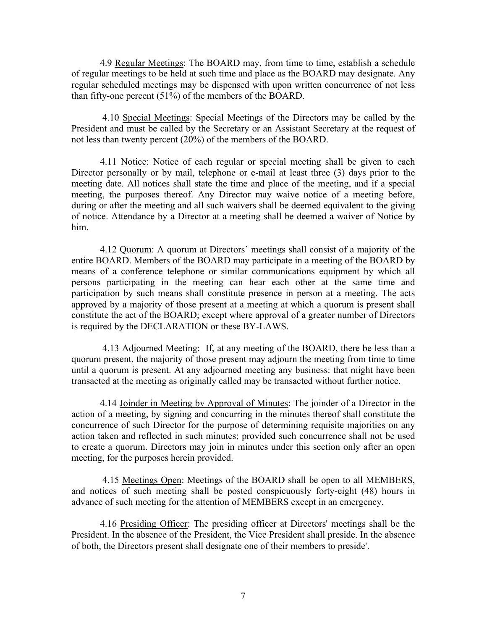4.9 Regular Meetings: The BOARD may, from time to time, establish a schedule of regular meetings to be held at such time and place as the BOARD may designate. Any regular scheduled meetings may be dispensed with upon written concurrence of not less than fifty-one percent (51%) of the members of the BOARD.

4.10 Special Meetings: Special Meetings of the Directors may be called by the President and must be called by the Secretary or an Assistant Secretary at the request of not less than twenty percent (20%) of the members of the BOARD.

4.11 Notice: Notice of each regular or special meeting shall be given to each Director personally or by mail, telephone or e-mail at least three (3) days prior to the meeting date. All notices shall state the time and place of the meeting, and if a special meeting, the purposes thereof. Any Director may waive notice of a meeting before, during or after the meeting and all such waivers shall be deemed equivalent to the giving of notice. Attendance by a Director at a meeting shall be deemed a waiver of Notice by him.

4.12 Quorum: A quorum at Directors' meetings shall consist of a majority of the entire BOARD. Members of the BOARD may participate in a meeting of the BOARD by means of a conference telephone or similar communications equipment by which all persons participating in the meeting can hear each other at the same time and participation by such means shall constitute presence in person at a meeting. The acts approved by a majority of those present at a meeting at which a quorum is present shall constitute the act of the BOARD; except where approval of a greater number of Directors is required by the DECLARATION or these BY-LAWS.

4.13 Adjourned Meeting: If, at any meeting of the BOARD, there be less than a quorum present, the majority of those present may adjourn the meeting from time to time until a quorum is present. At any adjourned meeting any business: that might have been transacted at the meeting as originally called may be transacted without further notice.

4.14 Joinder in Meeting bv Approval of Minutes: The joinder of a Director in the action of a meeting, by signing and concurring in the minutes thereof shall constitute the concurrence of such Director for the purpose of determining requisite majorities on any action taken and reflected in such minutes; provided such concurrence shall not be used to create a quorum. Directors may join in minutes under this section only after an open meeting, for the purposes herein provided.

4.15 Meetings Open: Meetings of the BOARD shall be open to all MEMBERS, and notices of such meeting shall be posted conspicuously forty-eight (48) hours in advance of such meeting for the attention of MEMBERS except in an emergency.

4.16 Presiding Officer: The presiding officer at Directors' meetings shall be the President. In the absence of the President, the Vice President shall preside. In the absence of both, the Directors present shall designate one of their members to preside'.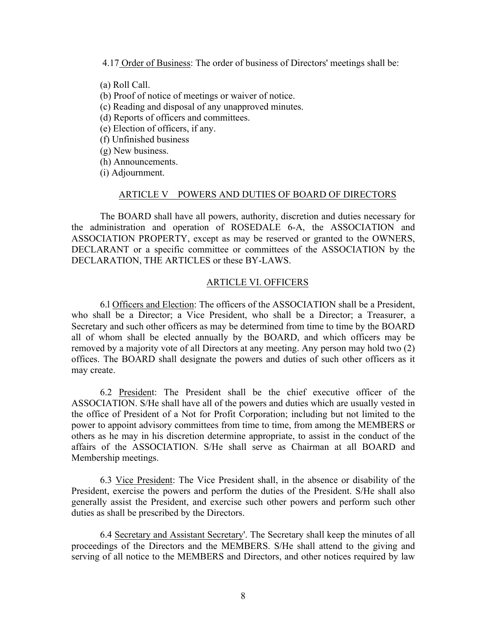4.17 Order of Business: The order of business of Directors' meetings shall be:

(a) Roll Call.

- (b) Proof of notice of meetings or waiver of notice.
- (c) Reading and disposal of any unapproved minutes.
- (d) Reports of officers and committees.
- (e) Election of officers, if any.
- (f) Unfinished business
- (g) New business.
- (h) Announcements.
- (i) Adjournment.

### ARTICLE V POWERS AND DUTIES OF BOARD OF DIRECTORS

The BOARD shall have all powers, authority, discretion and duties necessary for the administration and operation of ROSEDALE 6-A, the ASSOCIATION and ASSOCIATION PROPERTY, except as may be reserved or granted to the OWNERS, DECLARANT or a specific committee or committees of the ASSOCIATION by the DECLARATION, THE ARTICLES or these BY-LAWS.

# ARTICLE VI. OFFICERS

6.l Officers and Election: The officers of the ASSOCIATION shall be a President, who shall be a Director; a Vice President, who shall be a Director; a Treasurer, a Secretary and such other officers as may be determined from time to time by the BOARD all of whom shall be elected annually by the BOARD, and which officers may be removed by a majority vote of all Directors at any meeting. Any person may hold two (2) offices. The BOARD shall designate the powers and duties of such other officers as it may create.

6.2 President: The President shall be the chief executive officer of the ASSOCIATION. S/He shall have all of the powers and duties which are usually vested in the office of President of a Not for Profit Corporation; including but not limited to the power to appoint advisory committees from time to time, from among the MEMBERS or others as he may in his discretion determine appropriate, to assist in the conduct of the affairs of the ASSOCIATION. S/He shall serve as Chairman at all BOARD and Membership meetings.

6.3 Vice President: The Vice President shall, in the absence or disability of the President, exercise the powers and perform the duties of the President. S/He shall also generally assist the President, and exercise such other powers and perform such other duties as shall be prescribed by the Directors.

6.4 Secretary and Assistant Secretary'. The Secretary shall keep the minutes of all proceedings of the Directors and the MEMBERS. S/He shall attend to the giving and serving of all notice to the MEMBERS and Directors, and other notices required by law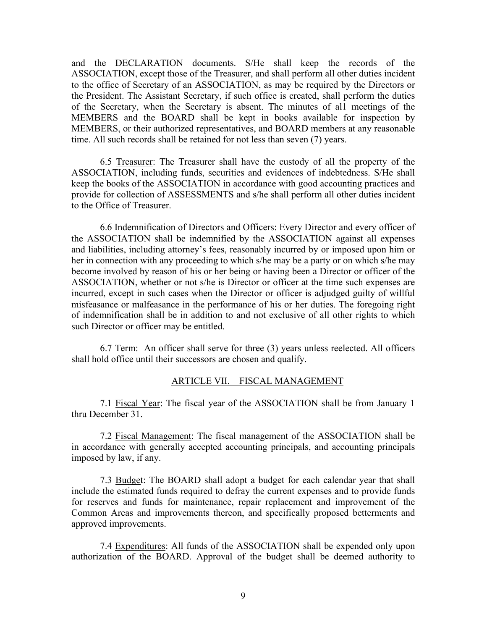and the DECLARATION documents. S/He shall keep the records of the ASSOCIATION, except those of the Treasurer, and shall perform all other duties incident to the office of Secretary of an ASSOCIATION, as may be required by the Directors or the President. The Assistant Secretary, if such office is created, shall perform the duties of the Secretary, when the Secretary is absent. The minutes of al1 meetings of the MEMBERS and the BOARD shall be kept in books available for inspection by MEMBERS, or their authorized representatives, and BOARD members at any reasonable time. All such records shall be retained for not less than seven (7) years.

6.5 Treasurer: The Treasurer shall have the custody of all the property of the ASSOCIATION, including funds, securities and evidences of indebtedness. S/He shall keep the books of the ASSOCIATION in accordance with good accounting practices and provide for collection of ASSESSMENTS and s/he shall perform all other duties incident to the Office of Treasurer.

6.6 Indemnification of Directors and Officers: Every Director and every officer of the ASSOCIATION shall be indemnified by the ASSOCIATION against all expenses and liabilities, including attorney's fees, reasonably incurred by or imposed upon him or her in connection with any proceeding to which s/he may be a party or on which s/he may become involved by reason of his or her being or having been a Director or officer of the ASSOCIATION, whether or not s/he is Director or officer at the time such expenses are incurred, except in such cases when the Director or officer is adjudged guilty of willful misfeasance or malfeasance in the performance of his or her duties. The foregoing right of indemnification shall be in addition to and not exclusive of all other rights to which such Director or officer may be entitled.

6.7 Term: An officer shall serve for three (3) years unless reelected. All officers shall hold office until their successors are chosen and qualify.

# ARTICLE VII. FISCAL MANAGEMENT

7.1 Fiscal Year: The fiscal year of the ASSOCIATION shall be from January 1 thru December 31.

7.2 Fiscal Management: The fiscal management of the ASSOCIATION shall be in accordance with generally accepted accounting principals, and accounting principals imposed by law, if any.

7.3 Budget: The BOARD shall adopt a budget for each calendar year that shall include the estimated funds required to defray the current expenses and to provide funds for reserves and funds for maintenance, repair replacement and improvement of the Common Areas and improvements thereon, and specifically proposed betterments and approved improvements.

7.4 Expenditures: All funds of the ASSOCIATION shall be expended only upon authorization of the BOARD. Approval of the budget shall be deemed authority to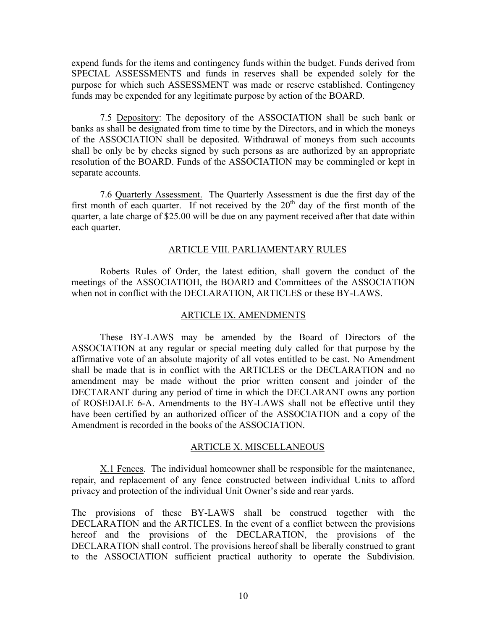expend funds for the items and contingency funds within the budget. Funds derived from SPECIAL ASSESSMENTS and funds in reserves shall be expended solely for the purpose for which such ASSESSMENT was made or reserve established. Contingency funds may be expended for any legitimate purpose by action of the BOARD.

7.5 Depository: The depository of the ASSOCIATION shall be such bank or banks as shall be designated from time to time by the Directors, and in which the moneys of the ASSOCIATION shall be deposited. Withdrawal of moneys from such accounts shall be only be by checks signed by such persons as are authorized by an appropriate resolution of the BOARD. Funds of the ASSOCIATION may be commingled or kept in separate accounts.

7.6 Quarterly Assessment. The Quarterly Assessment is due the first day of the first month of each quarter. If not received by the  $20<sup>th</sup>$  day of the first month of the quarter, a late charge of \$25.00 will be due on any payment received after that date within each quarter.

# ARTICLE VIII. PARLIAMENTARY RULES

Roberts Rules of Order, the latest edition, shall govern the conduct of the meetings of the ASSOCIATIOH, the BOARD and Committees of the ASSOCIATION when not in conflict with the DECLARATION, ARTICLES or these BY-LAWS.

#### ARTICLE IX. AMENDMENTS

These BY-LAWS may be amended by the Board of Directors of the ASSOCIATION at any regular or special meeting duly called for that purpose by the affirmative vote of an absolute majority of all votes entitled to be cast. No Amendment shall be made that is in conflict with the ARTICLES or the DECLARATION and no amendment may be made without the prior written consent and joinder of the DECTARANT during any period of time in which the DECLARANT owns any portion of ROSEDALE 6-A. Amendments to the BY-LAWS shall not be effective until they have been certified by an authorized officer of the ASSOCIATION and a copy of the Amendment is recorded in the books of the ASSOCIATION.

#### ARTICLE X. MISCELLANEOUS

X.1 Fences. The individual homeowner shall be responsible for the maintenance, repair, and replacement of any fence constructed between individual Units to afford privacy and protection of the individual Unit Owner's side and rear yards.

The provisions of these BY-LAWS shall be construed together with the DECLARATION and the ARTICLES. In the event of a conflict between the provisions hereof and the provisions of the DECLARATION, the provisions of the DECLARATION shall control. The provisions hereof shall be liberally construed to grant to the ASSOCIATION sufficient practical authority to operate the Subdivision.